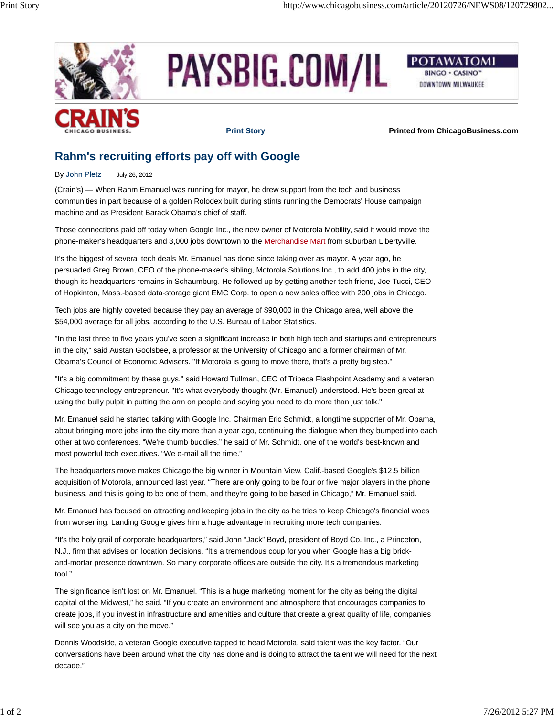

PAYSBIG.COM/IL



DOWNTOWN MILWAUKEE



**Print Story Printed from ChicagoBusiness.com**

## **Rahm's recruiting efforts pay off with Google**

By John Pletz July 26, 2012

(Crain's) — When Rahm Emanuel was running for mayor, he drew support from the tech and business communities in part because of a golden Rolodex built during stints running the Democrats' House campaign machine and as President Barack Obama's chief of staff.

Those connections paid off today when Google Inc., the new owner of Motorola Mobility, said it would move the phone-maker's headquarters and 3,000 jobs downtown to the Merchandise Mart from suburban Libertyville.

It's the biggest of several tech deals Mr. Emanuel has done since taking over as mayor. A year ago, he persuaded Greg Brown, CEO of the phone-maker's sibling, Motorola Solutions Inc., to add 400 jobs in the city, though its headquarters remains in Schaumburg. He followed up by getting another tech friend, Joe Tucci, CEO of Hopkinton, Mass.-based data-storage giant EMC Corp. to open a new sales office with 200 jobs in Chicago.

Tech jobs are highly coveted because they pay an average of \$90,000 in the Chicago area, well above the \$54,000 average for all jobs, according to the U.S. Bureau of Labor Statistics.

"In the last three to five years you've seen a significant increase in both high tech and startups and entrepreneurs in the city," said Austan Goolsbee, a professor at the University of Chicago and a former chairman of Mr. Obama's Council of Economic Advisers. "If Motorola is going to move there, that's a pretty big step."

"It's a big commitment by these guys," said Howard Tullman, CEO of Tribeca Flashpoint Academy and a veteran Chicago technology entrepreneur. "It's what everybody thought (Mr. Emanuel) understood. He's been great at using the bully pulpit in putting the arm on people and saying you need to do more than just talk."

Mr. Emanuel said he started talking with Google Inc. Chairman Eric Schmidt, a longtime supporter of Mr. Obama, about bringing more jobs into the city more than a year ago, continuing the dialogue when they bumped into each other at two conferences. "We're thumb buddies," he said of Mr. Schmidt, one of the world's best-known and most powerful tech executives. "We e-mail all the time."

The headquarters move makes Chicago the big winner in Mountain View, Calif.-based Google's \$12.5 billion acquisition of Motorola, announced last year. "There are only going to be four or five major players in the phone business, and this is going to be one of them, and they're going to be based in Chicago," Mr. Emanuel said.

Mr. Emanuel has focused on attracting and keeping jobs in the city as he tries to keep Chicago's financial woes from worsening. Landing Google gives him a huge advantage in recruiting more tech companies.

"It's the holy grail of corporate headquarters," said John "Jack" Boyd, president of Boyd Co. Inc., a Princeton, N.J., firm that advises on location decisions. "It's a tremendous coup for you when Google has a big brickand-mortar presence downtown. So many corporate offices are outside the city. It's a tremendous marketing tool."

The significance isn't lost on Mr. Emanuel. "This is a huge marketing moment for the city as being the digital capital of the Midwest," he said. "If you create an environment and atmosphere that encourages companies to create jobs, if you invest in infrastructure and amenities and culture that create a great quality of life, companies will see you as a city on the move."

Dennis Woodside, a veteran Google executive tapped to head Motorola, said talent was the key factor. "Our conversations have been around what the city has done and is doing to attract the talent we will need for the next decade."